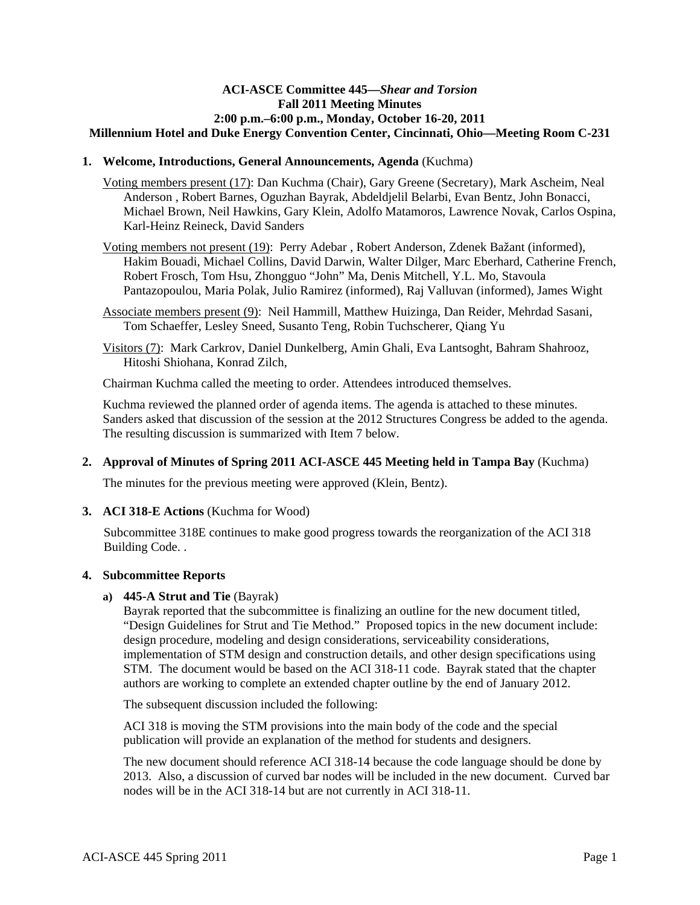## **ACI-ASCE Committee 445—***Shear and Torsion* **Fall 2011 Meeting Minutes 2:00 p.m.–6:00 p.m., Monday, October 16-20, 2011 Millennium Hotel and Duke Energy Convention Center, Cincinnati, Ohio—Meeting Room C-231**

## **1. Welcome, Introductions, General Announcements, Agenda** (Kuchma)

Voting members present (17): Dan Kuchma (Chair), Gary Greene (Secretary), Mark Ascheim, Neal Anderson , Robert Barnes, Oguzhan Bayrak, Abdeldjelil Belarbi, Evan Bentz, John Bonacci, Michael Brown, Neil Hawkins, Gary Klein, Adolfo Matamoros, Lawrence Novak, Carlos Ospina, Karl-Heinz Reineck, David Sanders

- Voting members not present (19): Perry Adebar , Robert Anderson, Zdenek Bažant (informed), Hakim Bouadi, Michael Collins, David Darwin, Walter Dilger, Marc Eberhard, Catherine French, Robert Frosch, Tom Hsu, Zhongguo "John" Ma, Denis Mitchell, Y.L. Mo, Stavoula Pantazopoulou, Maria Polak, Julio Ramirez (informed), Raj Valluvan (informed), James Wight
- Associate members present (9): Neil Hammill, Matthew Huizinga, Dan Reider, Mehrdad Sasani, Tom Schaeffer, Lesley Sneed, Susanto Teng, Robin Tuchscherer, Qiang Yu
- Visitors (7): Mark Carkrov, Daniel Dunkelberg, Amin Ghali, Eva Lantsoght, Bahram Shahrooz, Hitoshi Shiohana, Konrad Zilch,

Chairman Kuchma called the meeting to order. Attendees introduced themselves.

Kuchma reviewed the planned order of agenda items. The agenda is attached to these minutes. Sanders asked that discussion of the session at the 2012 Structures Congress be added to the agenda. The resulting discussion is summarized with Item 7 below.

# **2. Approval of Minutes of Spring 2011 ACI-ASCE 445 Meeting held in Tampa Bay** (Kuchma)

The minutes for the previous meeting were approved (Klein, Bentz).

# **3. ACI 318-E Actions** (Kuchma for Wood)

Subcommittee 318E continues to make good progress towards the reorganization of the ACI 318 Building Code. .

### **4. Subcommittee Reports**

# **a) 445-A Strut and Tie** (Bayrak)

Bayrak reported that the subcommittee is finalizing an outline for the new document titled, "Design Guidelines for Strut and Tie Method." Proposed topics in the new document include: design procedure, modeling and design considerations, serviceability considerations, implementation of STM design and construction details, and other design specifications using STM. The document would be based on the ACI 318-11 code. Bayrak stated that the chapter authors are working to complete an extended chapter outline by the end of January 2012.

The subsequent discussion included the following:

ACI 318 is moving the STM provisions into the main body of the code and the special publication will provide an explanation of the method for students and designers.

The new document should reference ACI 318-14 because the code language should be done by 2013. Also, a discussion of curved bar nodes will be included in the new document. Curved bar nodes will be in the ACI 318-14 but are not currently in ACI 318-11.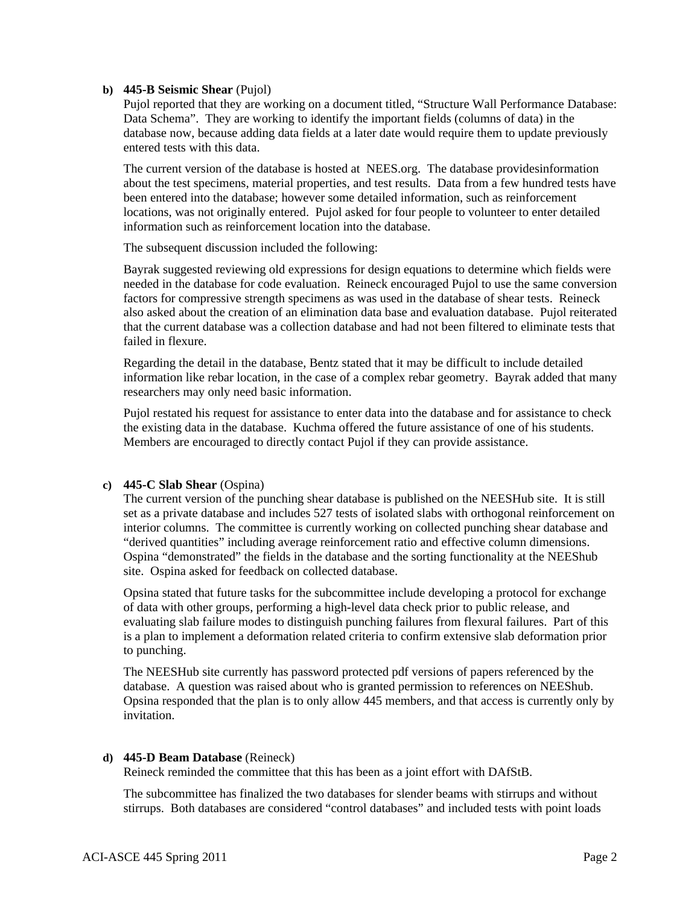## **b) 445-B Seismic Shear** (Pujol)

Pujol reported that they are working on a document titled, "Structure Wall Performance Database: Data Schema". They are working to identify the important fields (columns of data) in the database now, because adding data fields at a later date would require them to update previously entered tests with this data.

The current version of the database is hosted at NEES.org. The database providesinformation about the test specimens, material properties, and test results. Data from a few hundred tests have been entered into the database; however some detailed information, such as reinforcement locations, was not originally entered. Pujol asked for four people to volunteer to enter detailed information such as reinforcement location into the database.

The subsequent discussion included the following:

Bayrak suggested reviewing old expressions for design equations to determine which fields were needed in the database for code evaluation. Reineck encouraged Pujol to use the same conversion factors for compressive strength specimens as was used in the database of shear tests. Reineck also asked about the creation of an elimination data base and evaluation database. Pujol reiterated that the current database was a collection database and had not been filtered to eliminate tests that failed in flexure.

Regarding the detail in the database, Bentz stated that it may be difficult to include detailed information like rebar location, in the case of a complex rebar geometry. Bayrak added that many researchers may only need basic information.

Pujol restated his request for assistance to enter data into the database and for assistance to check the existing data in the database. Kuchma offered the future assistance of one of his students. Members are encouraged to directly contact Pujol if they can provide assistance.

# **c) 445-C Slab Shear** (Ospina)

The current version of the punching shear database is published on the NEESHub site. It is still set as a private database and includes 527 tests of isolated slabs with orthogonal reinforcement on interior columns. The committee is currently working on collected punching shear database and "derived quantities" including average reinforcement ratio and effective column dimensions. Ospina "demonstrated" the fields in the database and the sorting functionality at the NEEShub site. Ospina asked for feedback on collected database.

Opsina stated that future tasks for the subcommittee include developing a protocol for exchange of data with other groups, performing a high-level data check prior to public release, and evaluating slab failure modes to distinguish punching failures from flexural failures. Part of this is a plan to implement a deformation related criteria to confirm extensive slab deformation prior to punching.

The NEESHub site currently has password protected pdf versions of papers referenced by the database. A question was raised about who is granted permission to references on NEEShub. Opsina responded that the plan is to only allow 445 members, and that access is currently only by invitation.

### **d) 445-D Beam Database** (Reineck)

Reineck reminded the committee that this has been as a joint effort with DAfStB.

The subcommittee has finalized the two databases for slender beams with stirrups and without stirrups. Both databases are considered "control databases" and included tests with point loads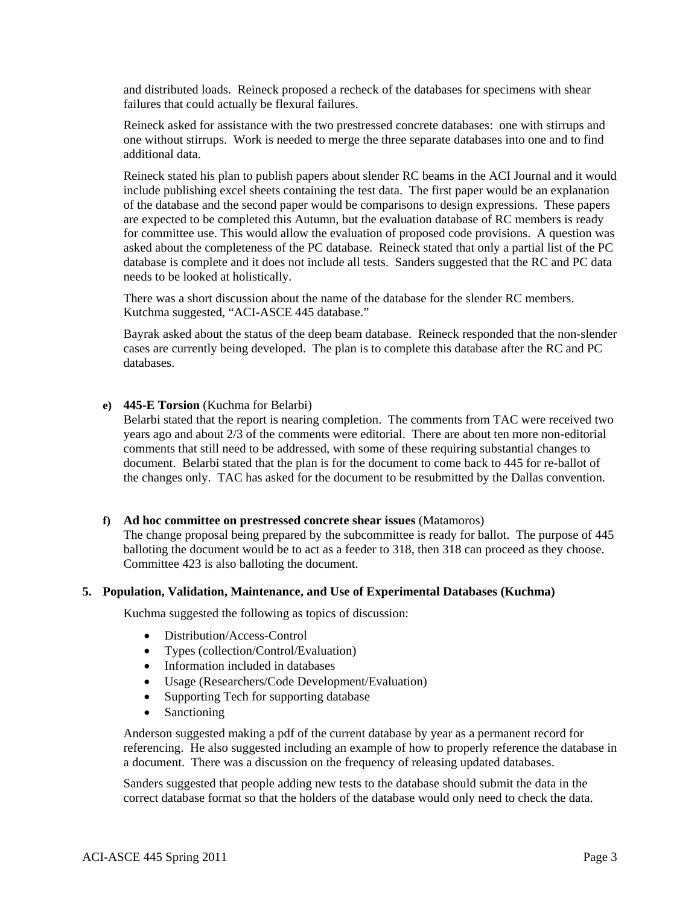and distributed loads. Reineck proposed a recheck of the databases for specimens with shear failures that could actually be flexural failures.

Reineck asked for assistance with the two prestressed concrete databases: one with stirrups and one without stirrups. Work is needed to merge the three separate databases into one and to find additional data.

Reineck stated his plan to publish papers about slender RC beams in the ACI Journal and it would include publishing excel sheets containing the test data. The first paper would be an explanation of the database and the second paper would be comparisons to design expressions. These papers are expected to be completed this Autumn, but the evaluation database of RC members is ready for committee use. This would allow the evaluation of proposed code provisions. A question was asked about the completeness of the PC database. Reineck stated that only a partial list of the PC database is complete and it does not include all tests. Sanders suggested that the RC and PC data needs to be looked at holistically.

There was a short discussion about the name of the database for the slender RC members. Kutchma suggested, "ACI-ASCE 445 database."

Bayrak asked about the status of the deep beam database. Reineck responded that the non-slender cases are currently being developed. The plan is to complete this database after the RC and PC databases.

## **e) 445-E Torsion** (Kuchma for Belarbi)

Belarbi stated that the report is nearing completion. The comments from TAC were received two years ago and about 2/3 of the comments were editorial. There are about ten more non-editorial comments that still need to be addressed, with some of these requiring substantial changes to document. Belarbi stated that the plan is for the document to come back to 445 for re-ballot of the changes only. TAC has asked for the document to be resubmitted by the Dallas convention.

### **f) Ad hoc committee on prestressed concrete shear issues** (Matamoros)

The change proposal being prepared by the subcommittee is ready for ballot. The purpose of 445 balloting the document would be to act as a feeder to 318, then 318 can proceed as they choose. Committee 423 is also balloting the document.

### **5. Population, Validation, Maintenance, and Use of Experimental Databases (Kuchma)**

Kuchma suggested the following as topics of discussion:

- Distribution/Access-Control
- Types (collection/Control/Evaluation)
- Information included in databases
- Usage (Researchers/Code Development/Evaluation)
- Supporting Tech for supporting database
- Sanctioning

Anderson suggested making a pdf of the current database by year as a permanent record for referencing. He also suggested including an example of how to properly reference the database in a document. There was a discussion on the frequency of releasing updated databases.

Sanders suggested that people adding new tests to the database should submit the data in the correct database format so that the holders of the database would only need to check the data.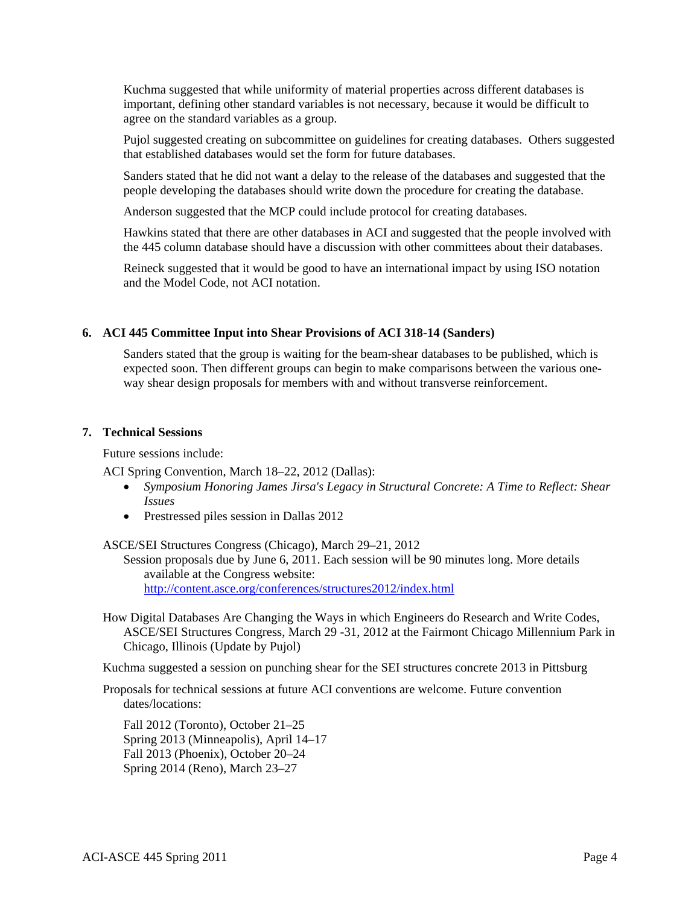Kuchma suggested that while uniformity of material properties across different databases is important, defining other standard variables is not necessary, because it would be difficult to agree on the standard variables as a group.

Pujol suggested creating on subcommittee on guidelines for creating databases. Others suggested that established databases would set the form for future databases.

Sanders stated that he did not want a delay to the release of the databases and suggested that the people developing the databases should write down the procedure for creating the database.

Anderson suggested that the MCP could include protocol for creating databases.

Hawkins stated that there are other databases in ACI and suggested that the people involved with the 445 column database should have a discussion with other committees about their databases.

Reineck suggested that it would be good to have an international impact by using ISO notation and the Model Code, not ACI notation.

# **6. ACI 445 Committee Input into Shear Provisions of ACI 318-14 (Sanders)**

Sanders stated that the group is waiting for the beam-shear databases to be published, which is expected soon. Then different groups can begin to make comparisons between the various oneway shear design proposals for members with and without transverse reinforcement.

### **7. Technical Sessions**

Future sessions include:

ACI Spring Convention, March 18–22, 2012 (Dallas):

- *Symposium Honoring James Jirsa's Legacy in Structural Concrete: A Time to Reflect: Shear Issues*
- Prestressed piles session in Dallas 2012

### ASCE/SEI Structures Congress (Chicago), March 29–21, 2012

Session proposals due by June 6, 2011. Each session will be 90 minutes long. More details available at the Congress website: http://content.asce.org/conferences/structures2012/index.html

How Digital Databases Are Changing the Ways in which Engineers do Research and Write Codes, ASCE/SEI Structures Congress, March 29 -31, 2012 at the Fairmont Chicago Millennium Park in Chicago, Illinois (Update by Pujol)

Kuchma suggested a session on punching shear for the SEI structures concrete 2013 in Pittsburg

Proposals for technical sessions at future ACI conventions are welcome. Future convention dates/locations:

Fall 2012 (Toronto), October 21–25 Spring 2013 (Minneapolis), April 14–17 Fall 2013 (Phoenix), October 20–24 Spring 2014 (Reno), March 23–27